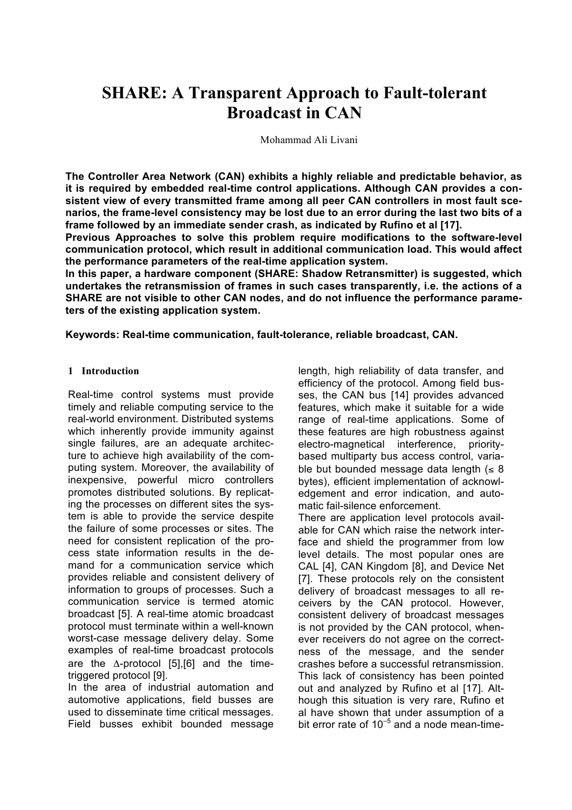# **SHARE: A Transparent Approach to Fault-tolerant Broadcast in CAN**

Mohammad Ali Livani

**The Controller Area Network (CAN) exhibits a highly reliable and predictable behavior, as it is required by embedded real-time control applications. Although CAN provides a consistent view of every transmitted frame among all peer CAN controllers in most fault scenarios, the frame-level consistency may be lost due to an error during the last two bits of a frame followed by an immediate sender crash, as indicated by Rufino et al [17].**

**Previous Approaches to solve this problem require modifications to the software-level communication protocol, which result in additional communication load. This would affect the performance parameters of the real-time application system.**

**In this paper, a hardware component (SHARE: Shadow Retransmitter) is suggested, which undertakes the retransmission of frames in such cases transparently, i.e. the actions of a SHARE are not visible to other CAN nodes, and do not influence the performance parameters of the existing application system.**

**Keywords: Real-time communication, fault-tolerance, reliable broadcast, CAN.**

#### **1 Introduction**

Real-time control systems must provide timely and reliable computing service to the real-world environment. Distributed systems which inherently provide immunity against single failures, are an adequate architecture to achieve high availability of the computing system. Moreover, the availability of inexpensive, powerful micro controllers promotes distributed solutions. By replicating the processes on different sites the system is able to provide the service despite the failure of some processes or sites. The need for consistent replication of the process state information results in the demand for a communication service which provides reliable and consistent delivery of information to groups of processes. Such a communication service is termed atomic broadcast [5]. A real-time atomic broadcast protocol must terminate within a well-known worst-case message delivery delay. Some examples of real-time broadcast protocols are the Δ-protocol [5],[6] and the timetriggered protocol [9].

In the area of industrial automation and automotive applications, field busses are used to disseminate time critical messages. Field busses exhibit bounded message length, high reliability of data transfer, and efficiency of the protocol. Among field busses, the CAN bus [14] provides advanced features, which make it suitable for a wide range of real-time applications. Some of these features are high robustness against electro-magnetical interference, prioritybased multiparty bus access control, variable but bounded message data length  $( \leq 8)$ bytes), efficient implementation of acknowledgement and error indication, and automatic fail-silence enforcement. There are application level protocols available for CAN which raise the network interface and shield the programmer from low

level details. The most popular ones are CAL [4], CAN Kingdom [8], and Device Net [7]. These protocols rely on the consistent delivery of broadcast messages to all receivers by the CAN protocol. However, consistent delivery of broadcast messages is not provided by the CAN protocol, whenever receivers do not agree on the correctness of the message, and the sender crashes before a successful retransmission. This lack of consistency has been pointed out and analyzed by Rufino et al [17]. Although this situation is very rare, Rufino et al have shown that under assumption of a bit error rate of  $10^{-5}$  and a node mean-time-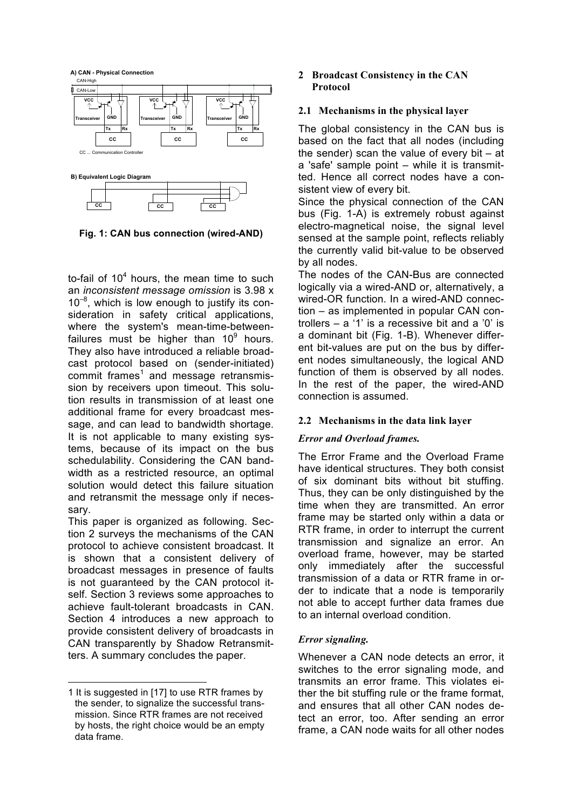

**Fig. 1: CAN bus connection (wired-AND)**

to-fail of  $10<sup>4</sup>$  hours, the mean time to such an *inconsistent message omission* is 3.98 x 10<sup>-8</sup>, which is low enough to justify its consideration in safety critical applications, where the system's mean-time-betweenfailures must be higher than  $10^9$  hours. They also have introduced a reliable broadcast protocol based on (sender-initiated)  $commit$  frames<sup>1</sup> and message retransmission by receivers upon timeout. This solution results in transmission of at least one additional frame for every broadcast message, and can lead to bandwidth shortage. It is not applicable to many existing systems, because of its impact on the bus schedulability. Considering the CAN bandwidth as a restricted resource, an optimal solution would detect this failure situation and retransmit the message only if necessary.

This paper is organized as following. Section 2 surveys the mechanisms of the CAN protocol to achieve consistent broadcast. It is shown that a consistent delivery of broadcast messages in presence of faults is not guaranteed by the CAN protocol itself. Section 3 reviews some approaches to achieve fault-tolerant broadcasts in CAN. Section 4 introduces a new approach to provide consistent delivery of broadcasts in CAN transparently by Shadow Retransmitters. A summary concludes the paper.

l

#### **2 Broadcast Consistency in the CAN Protocol**

#### **2.1 Mechanisms in the physical layer**

The global consistency in the CAN bus is based on the fact that all nodes (including the sender) scan the value of every bit – at a 'safe' sample point – while it is transmitted. Hence all correct nodes have a consistent view of every bit.

Since the physical connection of the CAN bus (Fig. 1-A) is extremely robust against electro-magnetical noise, the signal level sensed at the sample point, reflects reliably the currently valid bit-value to be observed by all nodes.

The nodes of the CAN-Bus are connected logically via a wired-AND or, alternatively, a wired-OR function. In a wired-AND connection – as implemented in popular CAN controllers – a '1' is a recessive bit and a '0' is a dominant bit (Fig. 1-B). Whenever different bit-values are put on the bus by different nodes simultaneously, the logical AND function of them is observed by all nodes. In the rest of the paper, the wired-AND connection is assumed.

# **2.2 Mechanisms in the data link layer**

# *Error and Overload frames.*

The Error Frame and the Overload Frame have identical structures. They both consist of six dominant bits without bit stuffing. Thus, they can be only distinguished by the time when they are transmitted. An error frame may be started only within a data or RTR frame, in order to interrupt the current transmission and signalize an error. An overload frame, however, may be started only immediately after the successful transmission of a data or RTR frame in order to indicate that a node is temporarily not able to accept further data frames due to an internal overload condition.

# *Error signaling.*

Whenever a CAN node detects an error, it switches to the error signaling mode, and transmits an error frame. This violates either the bit stuffing rule or the frame format, and ensures that all other CAN nodes detect an error, too. After sending an error frame, a CAN node waits for all other nodes

<sup>1</sup> It is suggested in [17] to use RTR frames by the sender, to signalize the successful transmission. Since RTR frames are not received by hosts, the right choice would be an empty data frame.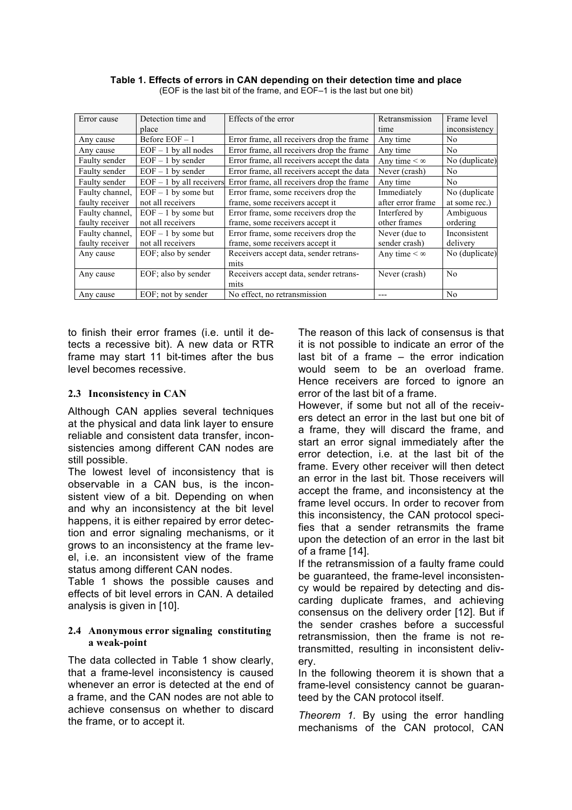| Error cause     | Detection time and         | Effects of the error                       | Retransmission      | Frame level    |
|-----------------|----------------------------|--------------------------------------------|---------------------|----------------|
|                 | place                      |                                            | time                | inconsistency  |
| Any cause       | Before EOF-1               | Error frame, all receivers drop the frame  | Any time            | N <sub>0</sub> |
| Any cause       | $EOF - 1$ by all nodes     | Error frame, all receivers drop the frame  | Any time            | N <sub>0</sub> |
| Faulty sender   | $EOF - 1$ by sender        | Error frame, all receivers accept the data | Any time $< \infty$ | No (duplicate) |
| Faulty sender   | $EOF - 1$ by sender        | Error frame, all receivers accept the data | Never (crash)       | N <sub>0</sub> |
| Faulty sender   | $EOF - 1$ by all receivers | Error frame, all receivers drop the frame  | Any time            | N <sub>0</sub> |
| Faulty channel. | $EOF - 1$ by some but      | Error frame, some receivers drop the       | Immediately         | No (duplicate) |
| faulty receiver | not all receivers          | frame, some receivers accept it            | after error frame   | at some rec.)  |
| Faulty channel. | $EOF - 1$ by some but      | Error frame, some receivers drop the       | Interfered by       | Ambiguous      |
| faulty receiver | not all receivers          | frame, some receivers accept it            | other frames        | ordering       |
| Faulty channel. | $EOF - 1$ by some but      | Error frame, some receivers drop the       | Never (due to       | Inconsistent   |
| faulty receiver | not all receivers          | frame, some receivers accept it            | sender crash)       | delivery       |
| Any cause       | EOF; also by sender        | Receivers accept data, sender retrans-     | Any time $< \infty$ | No (duplicate) |
|                 |                            | mits                                       |                     |                |
| Any cause       | EOF; also by sender        | Receivers accept data, sender retrans-     | Never (crash)       | N <sub>0</sub> |
|                 |                            | mits                                       |                     |                |
| Any cause       | EOF; not by sender         | No effect, no retransmission               | ---                 | N <sub>0</sub> |

**Table 1. Effects of errors in CAN depending on their detection time and place** (EOF is the last bit of the frame, and EOF–1 is the last but one bit)

to finish their error frames (i.e. until it detects a recessive bit). A new data or RTR frame may start 11 bit-times after the bus level becomes recessive.

#### **2.3 Inconsistency in CAN**

Although CAN applies several techniques at the physical and data link layer to ensure reliable and consistent data transfer, inconsistencies among different CAN nodes are still possible.

The lowest level of inconsistency that is observable in a CAN bus, is the inconsistent view of a bit. Depending on when and why an inconsistency at the bit level happens, it is either repaired by error detection and error signaling mechanisms, or it grows to an inconsistency at the frame level, i.e. an inconsistent view of the frame status among different CAN nodes.

Table 1 shows the possible causes and effects of bit level errors in CAN. A detailed analysis is given in [10].

#### **2.4 Anonymous error signaling constituting a weak-point**

The data collected in Table 1 show clearly, that a frame-level inconsistency is caused whenever an error is detected at the end of a frame, and the CAN nodes are not able to achieve consensus on whether to discard the frame, or to accept it.

The reason of this lack of consensus is that it is not possible to indicate an error of the last bit of a frame – the error indication would seem to be an overload frame. Hence receivers are forced to ignore an error of the last bit of a frame.

However, if some but not all of the receivers detect an error in the last but one bit of a frame, they will discard the frame, and start an error signal immediately after the error detection, i.e. at the last bit of the frame. Every other receiver will then detect an error in the last bit. Those receivers will accept the frame, and inconsistency at the frame level occurs. In order to recover from this inconsistency, the CAN protocol specifies that a sender retransmits the frame upon the detection of an error in the last bit of a frame [14].

If the retransmission of a faulty frame could be guaranteed, the frame-level inconsistency would be repaired by detecting and discarding duplicate frames, and achieving consensus on the delivery order [12]. But if the sender crashes before a successful retransmission, then the frame is not retransmitted, resulting in inconsistent delivery.

In the following theorem it is shown that a frame-level consistency cannot be guaranteed by the CAN protocol itself.

*Theorem 1.* By using the error handling mechanisms of the CAN protocol, CAN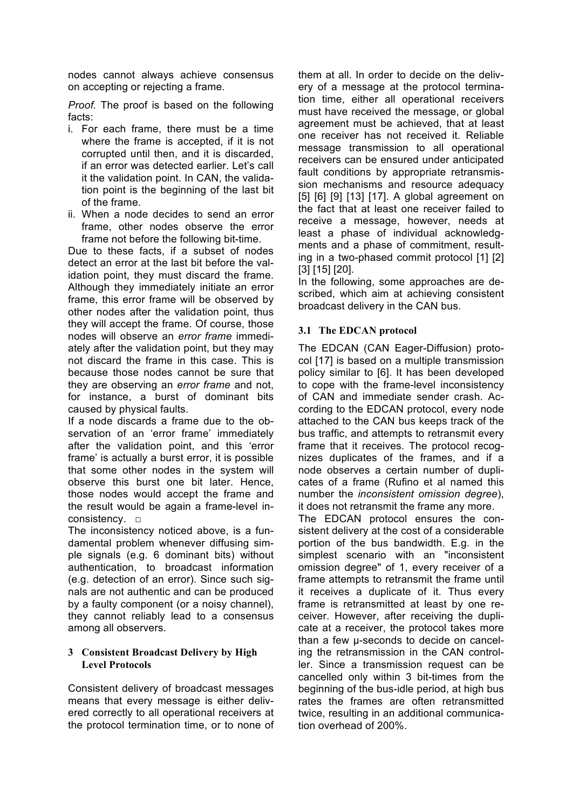nodes cannot always achieve consensus on accepting or rejecting a frame.

*Proof.* The proof is based on the following facts:

- i. For each frame, there must be a time where the frame is accepted, if it is not corrupted until then, and it is discarded, if an error was detected earlier. Let's call it the validation point. In CAN, the validation point is the beginning of the last bit of the frame.
- ii. When a node decides to send an error frame, other nodes observe the error frame not before the following bit-time.

Due to these facts, if a subset of nodes detect an error at the last bit before the validation point, they must discard the frame. Although they immediately initiate an error frame, this error frame will be observed by other nodes after the validation point, thus they will accept the frame. Of course, those nodes will observe an *error frame* immediately after the validation point, but they may not discard the frame in this case. This is because those nodes cannot be sure that they are observing an *error frame* and not, for instance, a burst of dominant bits caused by physical faults.

If a node discards a frame due to the observation of an 'error frame' immediately after the validation point, and this 'error frame' is actually a burst error, it is possible that some other nodes in the system will observe this burst one bit later. Hence, those nodes would accept the frame and the result would be again a frame-level inconsistency. □

The inconsistency noticed above, is a fundamental problem whenever diffusing simple signals (e.g. 6 dominant bits) without authentication, to broadcast information (e.g. detection of an error). Since such signals are not authentic and can be produced by a faulty component (or a noisy channel), they cannot reliably lead to a consensus among all observers.

#### **3 Consistent Broadcast Delivery by High Level Protocols**

Consistent delivery of broadcast messages means that every message is either delivered correctly to all operational receivers at the protocol termination time, or to none of them at all. In order to decide on the delivery of a message at the protocol termination time, either all operational receivers must have received the message, or global agreement must be achieved, that at least one receiver has not received it. Reliable message transmission to all operational receivers can be ensured under anticipated fault conditions by appropriate retransmission mechanisms and resource adequacy [5] [6] [9] [13] [17]. A global agreement on the fact that at least one receiver failed to receive a message, however, needs at least a phase of individual acknowledgments and a phase of commitment, resulting in a two-phased commit protocol [1] [2] [3] [15] [20].

In the following, some approaches are described, which aim at achieving consistent broadcast delivery in the CAN bus.

# **3.1 The EDCAN protocol**

The EDCAN (CAN Eager-Diffusion) protocol [17] is based on a multiple transmission policy similar to [6]. It has been developed to cope with the frame-level inconsistency of CAN and immediate sender crash. According to the EDCAN protocol, every node attached to the CAN bus keeps track of the bus traffic, and attempts to retransmit every frame that it receives. The protocol recognizes duplicates of the frames, and if a node observes a certain number of duplicates of a frame (Rufino et al named this number the *inconsistent omission degree*), it does not retransmit the frame any more.

The EDCAN protocol ensures the consistent delivery at the cost of a considerable portion of the bus bandwidth. E.g. in the simplest scenario with an "inconsistent omission degree" of 1, every receiver of a frame attempts to retransmit the frame until it receives a duplicate of it. Thus every frame is retransmitted at least by one receiver. However, after receiving the duplicate at a receiver, the protocol takes more than a few µ-seconds to decide on canceling the retransmission in the CAN controller. Since a transmission request can be cancelled only within 3 bit-times from the beginning of the bus-idle period, at high bus rates the frames are often retransmitted twice, resulting in an additional communication overhead of 200%.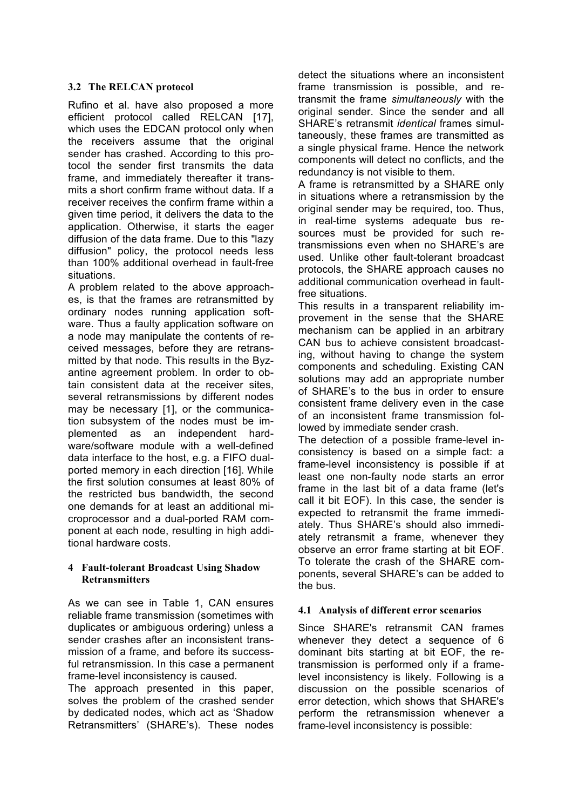# **3.2 The RELCAN protocol**

Rufino et al. have also proposed a more efficient protocol called RELCAN [17], which uses the EDCAN protocol only when the receivers assume that the original sender has crashed. According to this protocol the sender first transmits the data frame, and immediately thereafter it transmits a short confirm frame without data. If a receiver receives the confirm frame within a given time period, it delivers the data to the application. Otherwise, it starts the eager diffusion of the data frame. Due to this "lazy diffusion" policy, the protocol needs less than 100% additional overhead in fault-free situations.

A problem related to the above approaches, is that the frames are retransmitted by ordinary nodes running application software. Thus a faulty application software on a node may manipulate the contents of received messages, before they are retransmitted by that node. This results in the Byzantine agreement problem. In order to obtain consistent data at the receiver sites, several retransmissions by different nodes may be necessary [1], or the communication subsystem of the nodes must be implemented as an independent hardware/software module with a well-defined data interface to the host, e.g. a FIFO dualported memory in each direction [16]. While the first solution consumes at least 80% of the restricted bus bandwidth, the second one demands for at least an additional microprocessor and a dual-ported RAM component at each node, resulting in high additional hardware costs.

#### **4 Fault-tolerant Broadcast Using Shadow Retransmitters**

As we can see in Table 1, CAN ensures reliable frame transmission (sometimes with duplicates or ambiguous ordering) unless a sender crashes after an inconsistent transmission of a frame, and before its successful retransmission. In this case a permanent frame-level inconsistency is caused.

The approach presented in this paper, solves the problem of the crashed sender by dedicated nodes, which act as 'Shadow Retransmitters' (SHARE's). These nodes detect the situations where an inconsistent frame transmission is possible, and retransmit the frame *simultaneously* with the original sender. Since the sender and all SHARE's retransmit *identical* frames simultaneously, these frames are transmitted as a single physical frame. Hence the network components will detect no conflicts, and the redundancy is not visible to them.

A frame is retransmitted by a SHARE only in situations where a retransmission by the original sender may be required, too. Thus, in real-time systems adequate bus resources must be provided for such retransmissions even when no SHARE's are used. Unlike other fault-tolerant broadcast protocols, the SHARE approach causes no additional communication overhead in faultfree situations.

This results in a transparent reliability improvement in the sense that the SHARE mechanism can be applied in an arbitrary CAN bus to achieve consistent broadcasting, without having to change the system components and scheduling. Existing CAN solutions may add an appropriate number of SHARE's to the bus in order to ensure consistent frame delivery even in the case of an inconsistent frame transmission followed by immediate sender crash.

The detection of a possible frame-level inconsistency is based on a simple fact: a frame-level inconsistency is possible if at least one non-faulty node starts an error frame in the last bit of a data frame (let's call it bit EOF). In this case, the sender is expected to retransmit the frame immediately. Thus SHARE's should also immediately retransmit a frame, whenever they observe an error frame starting at bit EOF. To tolerate the crash of the SHARE components, several SHARE's can be added to the bus.

# **4.1 Analysis of different error scenarios**

Since SHARE's retransmit CAN frames whenever they detect a sequence of 6 dominant bits starting at bit EOF, the retransmission is performed only if a framelevel inconsistency is likely. Following is a discussion on the possible scenarios of error detection, which shows that SHARE's perform the retransmission whenever a frame-level inconsistency is possible: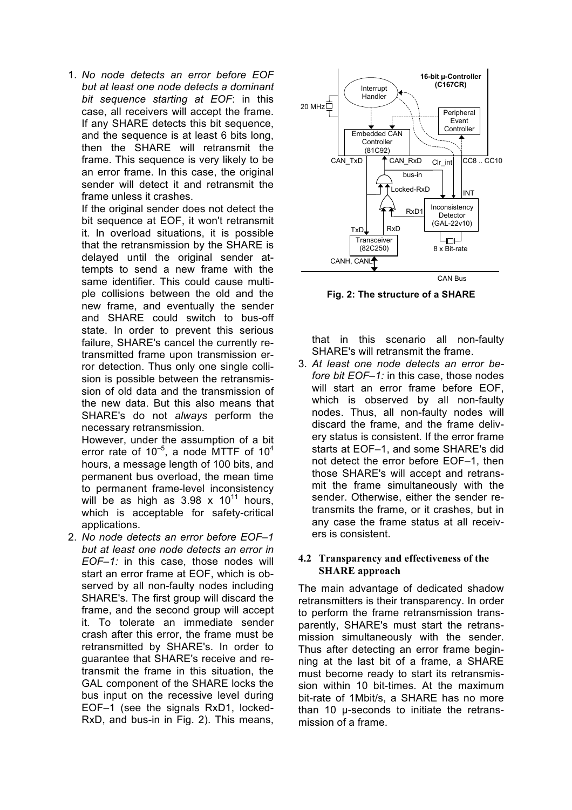1. *No node detects an error before EOF but at least one node detects a dominant bit sequence starting at EOF*: in this case, all receivers will accept the frame. If any SHARE detects this bit sequence, and the sequence is at least 6 bits long, then the SHARE will retransmit the frame. This sequence is very likely to be an error frame. In this case, the original sender will detect it and retransmit the frame unless it crashes.

If the original sender does not detect the bit sequence at EOF, it won't retransmit it. In overload situations, it is possible that the retransmission by the SHARE is delayed until the original sender attempts to send a new frame with the same identifier. This could cause multiple collisions between the old and the new frame, and eventually the sender and SHARE could switch to bus-off state. In order to prevent this serious failure, SHARE's cancel the currently retransmitted frame upon transmission error detection. Thus only one single collision is possible between the retransmission of old data and the transmission of the new data. But this also means that SHARE's do not *always* perform the necessary retransmission.

However, under the assumption of a bit error rate of  $10^{-5}$ , a node MTTF of  $10^4$ hours, a message length of 100 bits, and permanent bus overload, the mean time to permanent frame-level inconsistency will be as high as  $3.98 \times 10^{11}$  hours, which is acceptable for safety-critical applications.

2. *No node detects an error before EOF–1 but at least one node detects an error in EOF–1:* in this case, those nodes will start an error frame at EOF, which is observed by all non-faulty nodes including SHARE's. The first group will discard the frame, and the second group will accept it. To tolerate an immediate sender crash after this error, the frame must be retransmitted by SHARE's. In order to guarantee that SHARE's receive and retransmit the frame in this situation, the GAL component of the SHARE locks the bus input on the recessive level during EOF–1 (see the signals RxD1, locked-RxD, and bus-in in Fig. 2). This means,



**Fig. 2: The structure of a SHARE**

that in this scenario all non-faulty SHARE's will retransmit the frame.

3. *At least one node detects an error before bit FOF–1;* in this case, those nodes will start an error frame before EOF. which is observed by all non-faulty nodes. Thus, all non-faulty nodes will discard the frame, and the frame delivery status is consistent. If the error frame starts at EOF–1, and some SHARE's did not detect the error before EOF–1, then those SHARE's will accept and retransmit the frame simultaneously with the sender. Otherwise, either the sender retransmits the frame, or it crashes, but in any case the frame status at all receivers is consistent.

#### **4.2 Transparency and effectiveness of the SHARE approach**

The main advantage of dedicated shadow retransmitters is their transparency. In order to perform the frame retransmission transparently, SHARE's must start the retransmission simultaneously with the sender. Thus after detecting an error frame beginning at the last bit of a frame, a SHARE must become ready to start its retransmission within 10 bit-times. At the maximum bit-rate of 1Mbit/s, a SHARE has no more than 10 µ-seconds to initiate the retransmission of a frame.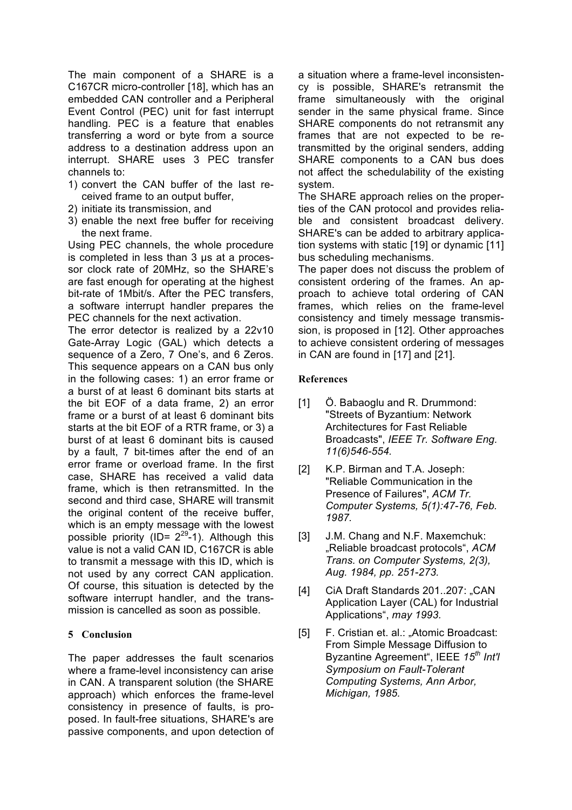The main component of a SHARE is a C167CR micro-controller [18], which has an embedded CAN controller and a Peripheral Event Control (PEC) unit for fast interrupt handling. PEC is a feature that enables transferring a word or byte from a source address to a destination address upon an interrupt. SHARE uses 3 PEC transfer channels to:

- 1) convert the CAN buffer of the last received frame to an output buffer,
- 2) initiate its transmission, and
- 3) enable the next free buffer for receiving the next frame.

Using PEC channels, the whole procedure is completed in less than 3 µs at a processor clock rate of 20MHz, so the SHARE's are fast enough for operating at the highest bit-rate of 1Mbit/s. After the PEC transfers, a software interrupt handler prepares the PEC channels for the next activation.

The error detector is realized by a 22v10 Gate-Array Logic (GAL) which detects a sequence of a Zero, 7 One's, and 6 Zeros. This sequence appears on a CAN bus only in the following cases: 1) an error frame or a burst of at least 6 dominant bits starts at the bit EOF of a data frame, 2) an error frame or a burst of at least 6 dominant bits starts at the bit EOF of a RTR frame, or 3) a burst of at least 6 dominant bits is caused by a fault, 7 bit-times after the end of an error frame or overload frame. In the first case, SHARE has received a valid data frame, which is then retransmitted. In the second and third case, SHARE will transmit the original content of the receive buffer. which is an empty message with the lowest possible priority (ID=  $2^{29}$ -1). Although this value is not a valid CAN ID, C167CR is able to transmit a message with this ID, which is not used by any correct CAN application. Of course, this situation is detected by the software interrupt handler, and the transmission is cancelled as soon as possible.

# **5 Conclusion**

The paper addresses the fault scenarios where a frame-level inconsistency can arise in CAN. A transparent solution (the SHARE approach) which enforces the frame-level consistency in presence of faults, is proposed. In fault-free situations, SHARE's are passive components, and upon detection of a situation where a frame-level inconsistency is possible, SHARE's retransmit the frame simultaneously with the original sender in the same physical frame. Since SHARE components do not retransmit any frames that are not expected to be retransmitted by the original senders, adding SHARE components to a CAN bus does not affect the schedulability of the existing system.

The SHARE approach relies on the properties of the CAN protocol and provides reliable and consistent broadcast delivery. SHARE's can be added to arbitrary application systems with static [19] or dynamic [11] bus scheduling mechanisms.

The paper does not discuss the problem of consistent ordering of the frames. An approach to achieve total ordering of CAN frames, which relies on the frame-level consistency and timely message transmission, is proposed in [12]. Other approaches to achieve consistent ordering of messages in CAN are found in [17] and [21].

#### **References**

- [1] Ö. Babaoglu and R. Drummond: "Streets of Byzantium: Network Architectures for Fast Reliable Broadcasts", *IEEE Tr. Software Eng. 11(6)546-554.*
- [2] K.P. Birman and T.A. Joseph: "Reliable Communication in the Presence of Failures", *ACM Tr. Computer Systems, 5(1):47-76, Feb. 1987.*
- [3] J.M. Chang and N.F. Maxemchuk: "Reliable broadcast protocols", *ACM Trans. on Computer Systems, 2(3), Aug. 1984, pp. 251-273.*
- [4] CiA Draft Standards 201..207: "CAN Application Layer (CAL) for Industrial Applications", *may 1993.*
- [5] F. Cristian et. al.: "Atomic Broadcast: From Simple Message Diffusion to Byzantine Agreement", IEEE *15th Int'l Symposium on Fault-Tolerant Computing Systems, Ann Arbor, Michigan, 1985.*